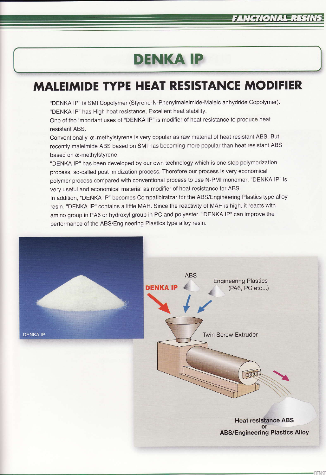## **DENKA IP**

## **MALEIMIDE TYPE HEAT RESISTANCE MODIFIER**

"DENKA IP" is SMI Copolymer (Styrene-N-Phenylmaleimide-Maleic anhydride Copolymer). "DENKA IP" has High heat resistance, Excellent heat stability.

One of the important uses of "DENKA IP" is modifier of heat resistance to produce heat resistant ABS.

Conventionally  $\alpha$ -methylstyrene is very popular as raw material of heat resistant ABS. But recently maleimide ABS based on SMI has becoming more popular than heat resistant ABS based on  $\alpha$ -methylstyrene.

"DENKA IP" has been developed by our own technology which is one step polymerization process, so-called post imidization process. Therefore our process is very economical polymer process compared with conventional process to use N-PMI monomer. "DENKA IP" is very useful and economical material as modifier of heat resistance for ABS.

In addition, "DENKA IP" becomes Compatibiraizar for the ABS/Engineering Plastics type alloy resin. "DENKA IP" contains a little MAH. Since the reactivity of MAH is high, it reacts with amino group in PA6 or hydroxyl group in PC and polyester. "DENKA IP" can improve the performance of the ABS/Engineering Plastics type alloy resin.